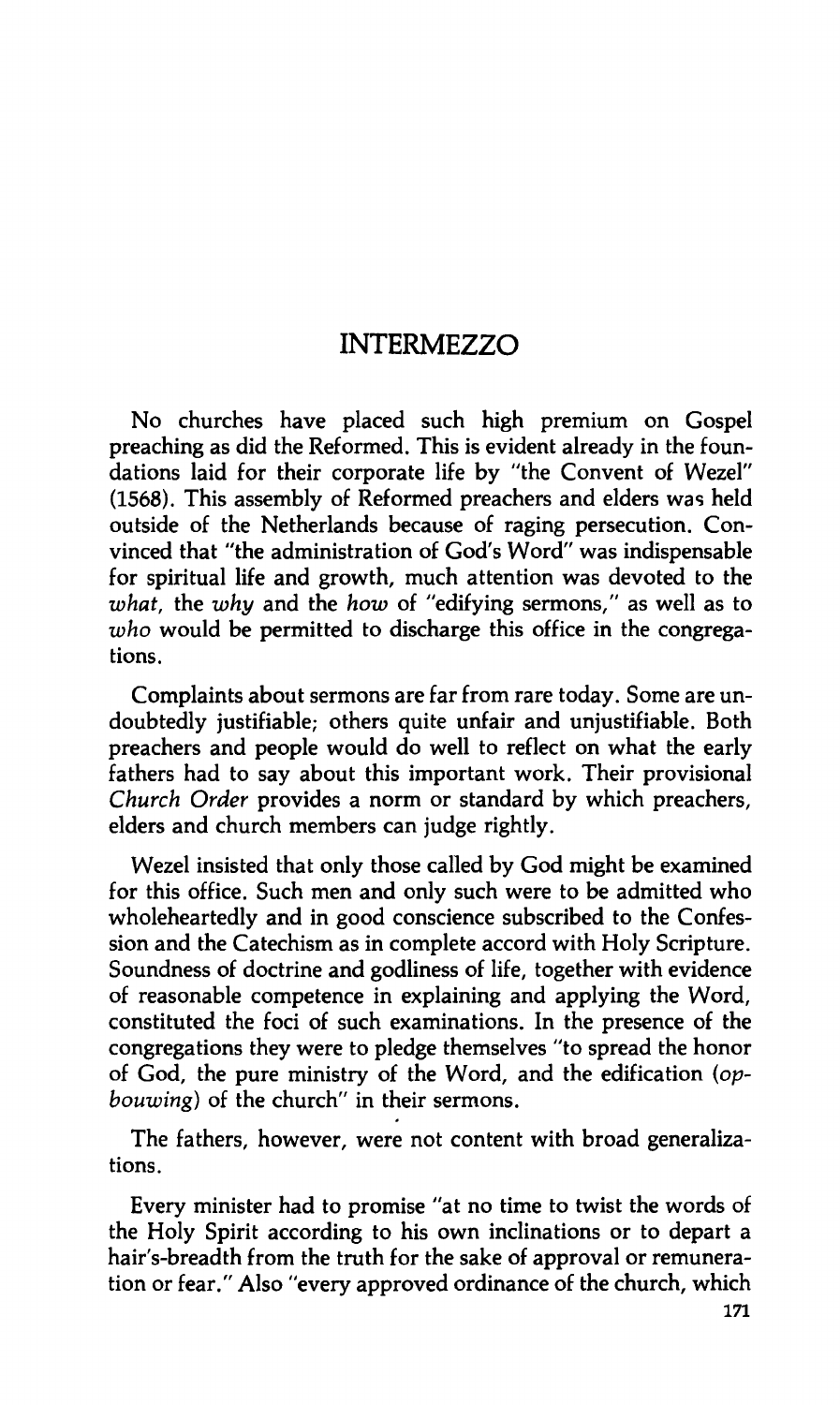## **INTERMEZZO**

**No churches have placed such high premium on Gospel preaching as did the Reformed. This is evident already in the foundations laid for their corporate life by "the Convent of Wezel" (1568). This assembly of Reformed preachers and elders was held outside of the Netherlands because of raging persecution. Convinced that "the administration of God's Word" was indispensable for spiritual life and growth, much attention was devoted to the**  *what,* **the** *why* **and the** *how* **of "edifying sermons," as well as to**  *who* **would be permitted to discharge this office in the congregations.** 

**Complaints about sermons are far from rare today. Some are undoubtedly justifiable; others quite unfair and unjustifiable. Both preachers and people would do well to reflect on what the early fathers had to say about this important work. Their provisional**  *Church Order* **provides a norm or standard by which preachers, elders and church members can judge rightly.** 

**Wezel insisted that only those called by God might be examined for this office. Such men and only such were to be admitted who wholeheartedly and in good conscience subscribed to the Confession and the Catechism as in complete accord with Holy Scripture. Soundness of doctrine and godliness of life, together with evidence of reasonable competence in explaining and applying the Word, constituted the foci of such examinations. In the presence of the congregations they were to pledge themselves "to spread the honor of God, the pure ministry of the Word, and the edification** *(opbouwing)* **of the church" in their sermons.** 

**The fathers, however, were not content with broad generalizations.** 

**Every minister had to promise "at no time to twist the words of the Holy Spirit according to his own inclinations or to depart a hair's-breadth from the truth for the sake of approval or remuneration or fear." Also "every approved ordinance of the church, which**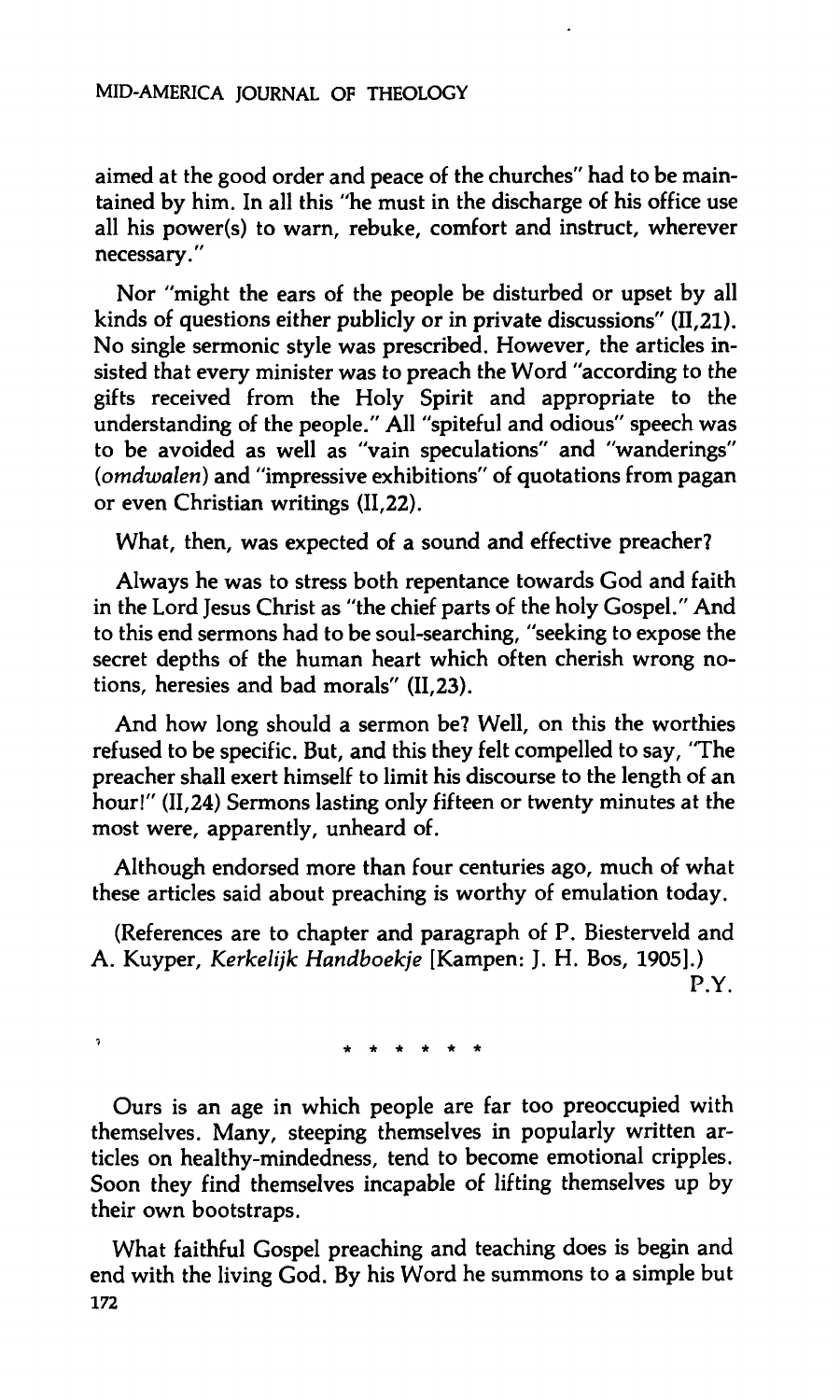**aimed at the good order and peace of the churches" had to be maintained by him. In all this "he must in the discharge of his office use all his power(s) to warn, rebuke, comfort and instruct, wherever necessary."** 

**Nor "might the ears of the people be disturbed or upset by all kinds of questions either publicly or in private discussions" (11,21). No single sermonic style was prescribed. However, the articles insisted that every minister was to preach the Word "according to the gifts received from the Holy Spirit and appropriate to the understanding of the people." All "spiteful and odious" speech was to be avoided as well as "vain speculations" and "wanderings"**  *(omdwalen)* **and "impressive exhibitions" of quotations from pagan or even Christian writings (11,22).** 

**What, then, was expected of a sound and effective preacher?** 

**Always he was to stress both repentance towards God and faith in the Lord Jesus Christ as "the chief parts of the holy Gospel." And to this end sermons had to be soul-searching, "seeking to expose the secret depths of the human heart which often cherish wrong notions, heresies and bad morals" (11,23).** 

**And how long should a sermon be? Well, on this the worthies refused to be specific. But, and this they felt compelled to say, "The preacher shall exert himself to limit his discourse to the length of an hour!" (11,24) Sermons lasting only fifteen or twenty minutes at the most were, apparently, unheard of.** 

**Although endorsed more than four centuries ago, much of what these articles said about preaching is worthy of emulation today.** 

**(References are to chapter and paragraph of P. Biesterveld and A. Kuyper,** *Kerkelijk Handboekje* **[Kampen: J. H. Bos, 1905].) P.Y.** 

 **\*\*\*\*\* \*** 

**1**

**Ours is an age in which people are far too preoccupied with themselves. Many, steeping themselves in popularly written articles on healthy-mindedness, tend to become emotional cripples. Soon they find themselves incapable of lifting themselves up by their own bootstraps.** 

**What faithful Gospel preaching and teaching does is begin and end with the living God. By his Word he summons to a simple but 172**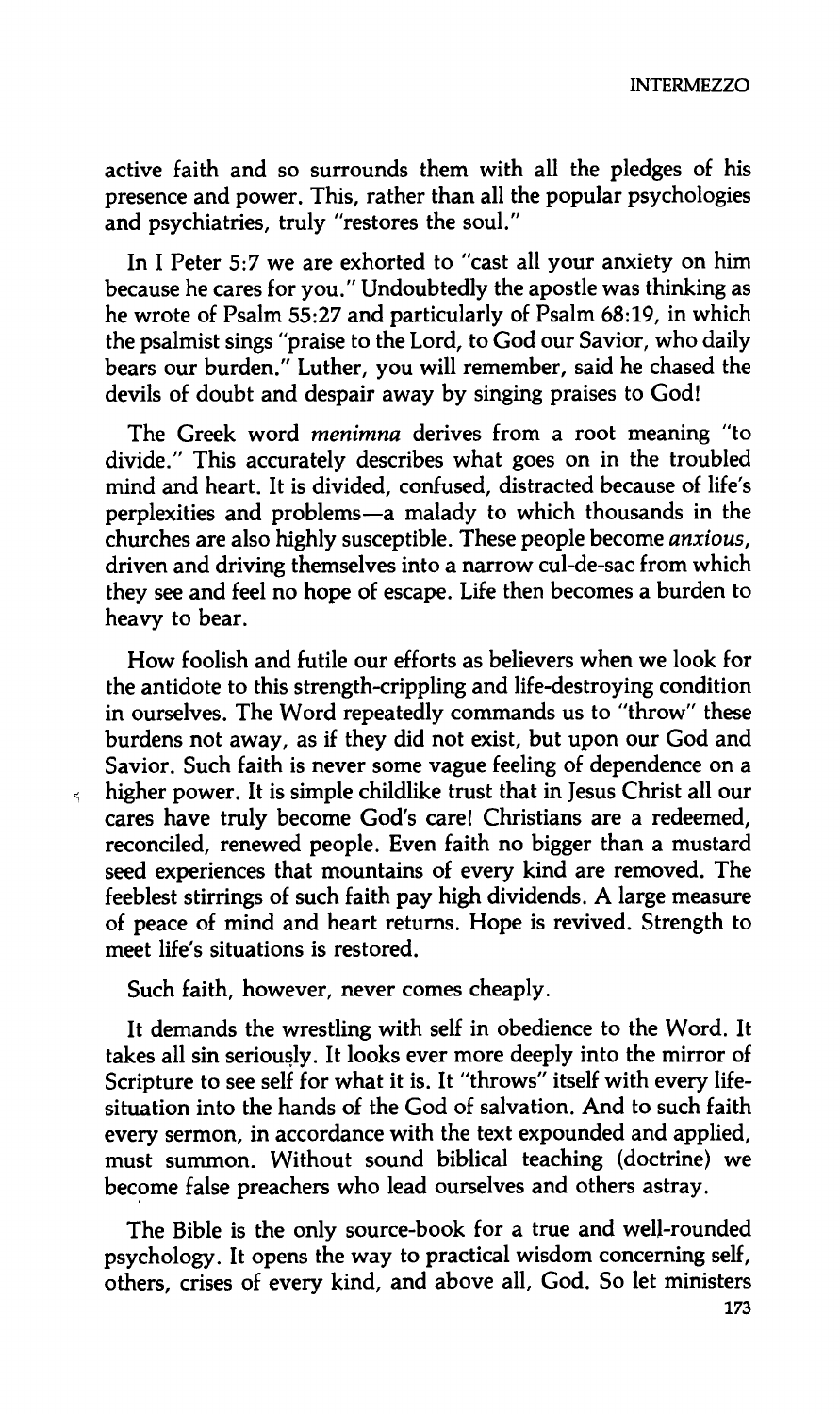**INTERMEZZO** 

**active faith and so surrounds them with all the pledges of his presence and power. This, rather than all the popular psychologies and psychiatries, truly "restores the soul."** 

**In I Peter 5:7 we are exhorted to "cast all your anxiety on him because he cares for you." Undoubtedly the apostle was thinking as he wrote of Psalm 55:27 and particularly of Psalm 68:19, in which the psalmist sings "praise to the Lord, to God our Savior, who daily bears our burden." Luther, you will remember, said he chased the devils of doubt and despair away by singing praises to God!** 

**The Greek word** *menimna* **derives from a root meaning "to divide." This accurately describes what goes on in the troubled mind and heart. It is divided, confused, distracted because of life's perplexities and problems—a malady to which thousands in the churches are also highly susceptible. These people become** *anxious,*  **driven and driving themselves into a narrow cul-de-sac from which they see and feel no hope of escape. Life then becomes a burden to heavy to bear.** 

**How foolish and futile our efforts as believers when we look for the antidote to this strength-crippling and life-destroying condition in ourselves. The Word repeatedly commands us to "throw" these burdens not away, as if they did not exist, but upon our God and Savior. Such faith is never some vague feeling of dependence on a**  *ï* **higher power. It is simple childlike trust that in Jesus Christ all our cares have truly become God's care! Christians are a redeemed, reconciled, renewed people. Even faith no bigger than a mustard seed experiences that mountains of every kind are removed. The feeblest stirrings of such faith pay high dividends. A large measure of peace of mind and heart returns. Hope is revived. Strength to meet life's situations is restored.** 

**Such faith, however, never comes cheaply.** 

**It demands the wrestling with self in obedience to the Word. It takes all sin seriously. It looks ever more deeply into the mirror of Scripture to see self for what it is. It "throws" itself with every lifesituation into the hands of the God of salvation. And to such faith every sermon, in accordance with the text expounded and applied, must summon. Without sound biblical teaching (doctrine) we become false preachers who lead ourselves and others astray.** 

**The Bible is the only source-book for a true and well-rounded psychology. It opens the way to practical wisdom concerning self, others, crises of every kind, and above all, God. So let ministers**